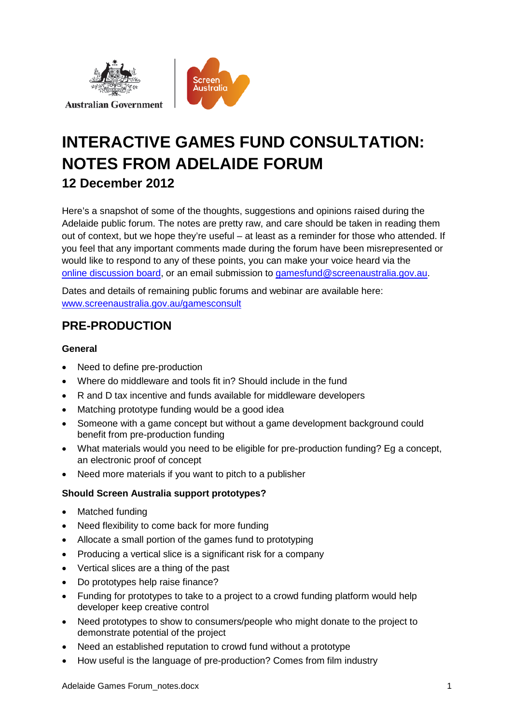



# **INTERACTIVE GAMES FUND CONSULTATION: NOTES FROM ADELAIDE FORUM 12 December 2012**

Here's a snapshot of some of the thoughts, suggestions and opinions raised during the Adelaide public forum. The notes are pretty raw, and care should be taken in reading them out of context, but we hope they're useful – at least as a reminder for those who attended. If you feel that any important comments made during the forum have been misrepresented or would like to respond to any of these points, you can make your voice heard via the [online discussion board,](http://www.screenaustralia.gov.au/gamesoptions/) or an email submission to [gamesfund@screenaustralia.gov.au.](mailto:gamesfund@screenaustralia.gov.au)

Dates and details of remaining public forums and webinar are available here: [www.screenaustralia.gov.au/gamesconsult](http://www.screenaustralia.gov.au/about_us/new_directions/games_consult.aspx)

# **PRE-PRODUCTION**

#### **General**

- Need to define pre-production
- Where do middleware and tools fit in? Should include in the fund
- R and D tax incentive and funds available for middleware developers
- Matching prototype funding would be a good idea
- Someone with a game concept but without a game development background could benefit from pre-production funding
- What materials would you need to be eligible for pre-production funding? Eg a concept, an electronic proof of concept
- Need more materials if you want to pitch to a publisher

#### **Should Screen Australia support prototypes?**

- Matched funding
- Need flexibility to come back for more funding
- Allocate a small portion of the games fund to prototyping
- Producing a vertical slice is a significant risk for a company
- Vertical slices are a thing of the past
- Do prototypes help raise finance?
- Funding for prototypes to take to a project to a crowd funding platform would help developer keep creative control
- Need prototypes to show to consumers/people who might donate to the project to demonstrate potential of the project
- Need an established reputation to crowd fund without a prototype
- How useful is the language of pre-production? Comes from film industry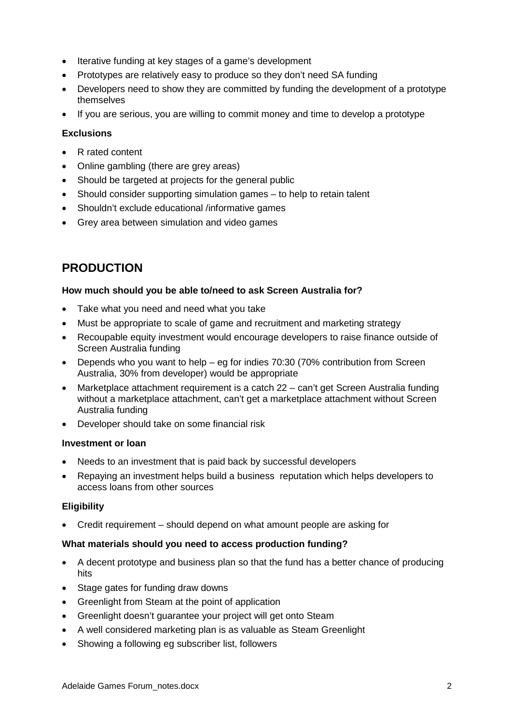- Iterative funding at key stages of a game's development
- Prototypes are relatively easy to produce so they don't need SA funding
- Developers need to show they are committed by funding the development of a prototype themselves
- If you are serious, you are willing to commit money and time to develop a prototype

#### **Exclusions**

- R rated content
- Online gambling (there are grey areas)
- Should be targeted at projects for the general public
- Should consider supporting simulation games to help to retain talent
- Shouldn't exclude educational /informative games
- Grey area between simulation and video games

## **PRODUCTION**

#### **How much should you be able to/need to ask Screen Australia for?**

- Take what you need and need what you take
- Must be appropriate to scale of game and recruitment and marketing strategy
- Recoupable equity investment would encourage developers to raise finance outside of Screen Australia funding
- Depends who you want to help eg for indies 70:30 (70% contribution from Screen Australia, 30% from developer) would be appropriate
- Marketplace attachment requirement is a catch 22 can't get Screen Australia funding without a marketplace attachment, can't get a marketplace attachment without Screen Australia funding
- Developer should take on some financial risk

#### **Investment or loan**

- Needs to an investment that is paid back by successful developers
- Repaying an investment helps build a business reputation which helps developers to access loans from other sources

#### **Eligibility**

• Credit requirement – should depend on what amount people are asking for

#### **What materials should you need to access production funding?**

- A decent prototype and business plan so that the fund has a better chance of producing hits
- Stage gates for funding draw downs
- Greenlight from Steam at the point of application
- Greenlight doesn't guarantee your project will get onto Steam
- A well considered marketing plan is as valuable as Steam Greenlight
- Showing a following eg subscriber list, followers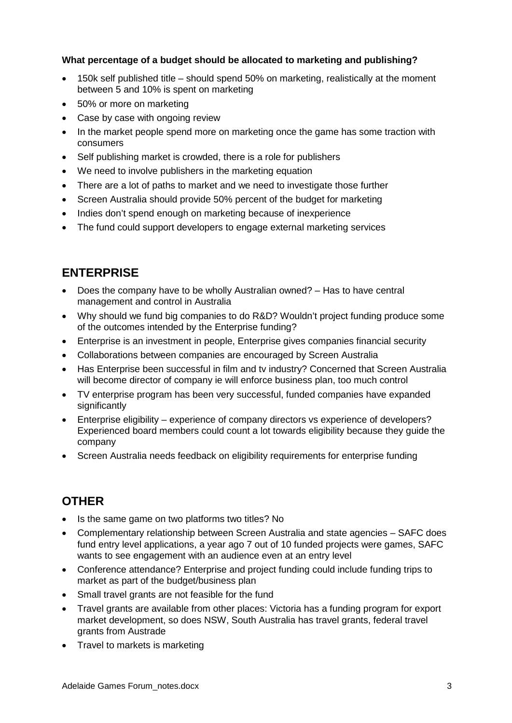#### **What percentage of a budget should be allocated to marketing and publishing?**

- 150k self published title should spend 50% on marketing, realistically at the moment between 5 and 10% is spent on marketing
- 50% or more on marketing
- Case by case with ongoing review
- In the market people spend more on marketing once the game has some traction with consumers
- Self publishing market is crowded, there is a role for publishers
- We need to involve publishers in the marketing equation
- There are a lot of paths to market and we need to investigate those further
- Screen Australia should provide 50% percent of the budget for marketing
- Indies don't spend enough on marketing because of inexperience
- The fund could support developers to engage external marketing services

### **ENTERPRISE**

- Does the company have to be wholly Australian owned? Has to have central management and control in Australia
- Why should we fund big companies to do R&D? Wouldn't project funding produce some of the outcomes intended by the Enterprise funding?
- Enterprise is an investment in people, Enterprise gives companies financial security
- Collaborations between companies are encouraged by Screen Australia
- Has Enterprise been successful in film and tv industry? Concerned that Screen Australia will become director of company ie will enforce business plan, too much control
- TV enterprise program has been very successful, funded companies have expanded significantly
- Enterprise eligibility experience of company directors vs experience of developers? Experienced board members could count a lot towards eligibility because they guide the company
- Screen Australia needs feedback on eligibility requirements for enterprise funding

### **OTHER**

- Is the same game on two platforms two titles? No
- Complementary relationship between Screen Australia and state agencies SAFC does fund entry level applications, a year ago 7 out of 10 funded projects were games, SAFC wants to see engagement with an audience even at an entry level
- Conference attendance? Enterprise and project funding could include funding trips to market as part of the budget/business plan
- Small travel grants are not feasible for the fund
- Travel grants are available from other places: Victoria has a funding program for export market development, so does NSW, South Australia has travel grants, federal travel grants from Austrade
- Travel to markets is marketing